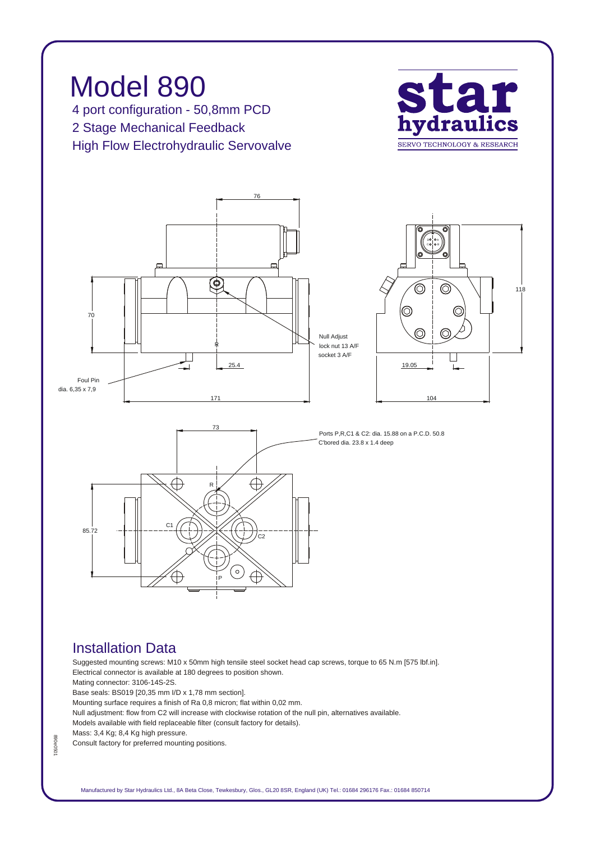

## *Installation Data*

*Suggested mounting screws: M10 x 50mm high tensile steel socket head cap screws, torque to 65 N.m [575 lbf.in]. Electrical connector is available at 180 degrees to position shown. Mating connector: 3106-14S-2S.*

*Base seals: BS019 [20,35 mm I/D x 1,78 mm section].*

*Mounting surface requires a finish of Ra 0,8 micron; flat within 0,02 mm.*

*Null adjustment: flow from C2 will increase with clockwise rotation of the null pin, alternatives available.*

*Models available with field replaceable filter (consult factory for details).*

*Mass: 3,4 Kg; 8,4 Kg high pressure.*

*890e0501*

890e050

*Consult factory for preferred mounting positions.*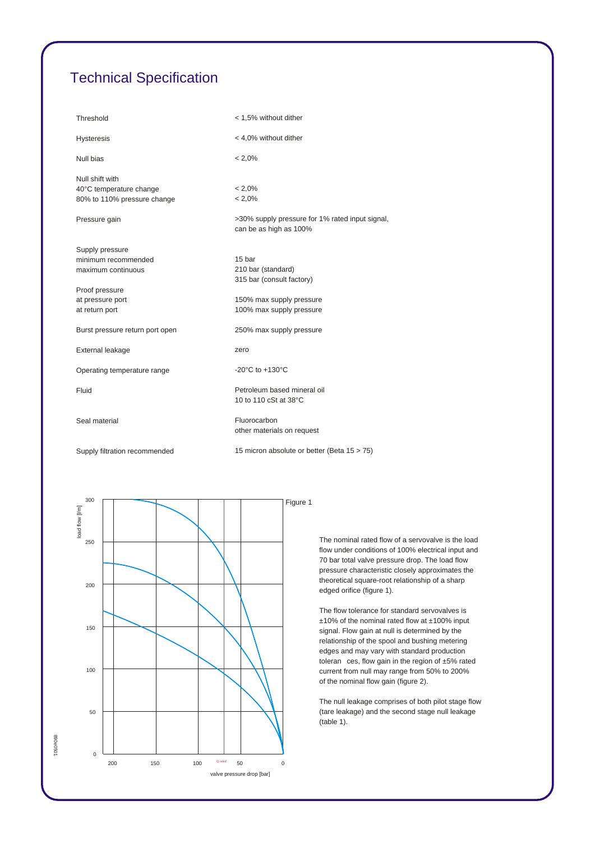## *Technical Specification*

| Threshold                                                                 | < 1,5% without dither                                                     |
|---------------------------------------------------------------------------|---------------------------------------------------------------------------|
| <b>Hysteresis</b>                                                         | < 4,0% without dither                                                     |
| Null bias                                                                 | $< 2.0\%$                                                                 |
| Null shift with<br>40°C temperature change<br>80% to 110% pressure change | $< 2.0\%$<br>$< 2.0\%$                                                    |
| Pressure gain                                                             | >30% supply pressure for 1% rated input signal,<br>can be as high as 100% |
| Supply pressure<br>minimum recommended<br>maximum continuous              | 15 bar<br>210 bar (standard)<br>315 bar (consult factory)                 |
| Proof pressure<br>at pressure port<br>at return port                      | 150% max supply pressure<br>100% max supply pressure                      |
| Burst pressure return port open                                           | 250% max supply pressure                                                  |
| External leakage                                                          | zero                                                                      |
| Operating temperature range                                               | -20 $^{\circ}$ C to +130 $^{\circ}$ C                                     |
| Fluid                                                                     | Petroleum based mineral oil<br>10 to 110 cSt at 38°C                      |
| Seal material                                                             | Fluorocarbon<br>other materials on request                                |
| Supply filtration recommended                                             | 15 micron absolute or better (Beta 15 > 75)                               |



*The nominal rated flow of a servovalve is the load flow under conditions of 100% electrical input and 70 bar total valve pressure drop. The load flow pressure characteristic closely approximates the theoretical square-root relationship of a sharp edged orifice (figure 1).*

*The flow tolerance for standard servovalves is ±10% of the nominal rated flow at ±100% input signal. Flow gain at null is determined by the relationship of the spool and bushing metering edges and may vary with standard production toleran ces, flow gain in the region of ±5% rated current from null may range from 50% to 200% of the nominal flow gain (figure 2).*

*The null leakage comprises of both pilot stage flow (tare leakage) and the second stage null leakage (table 1).*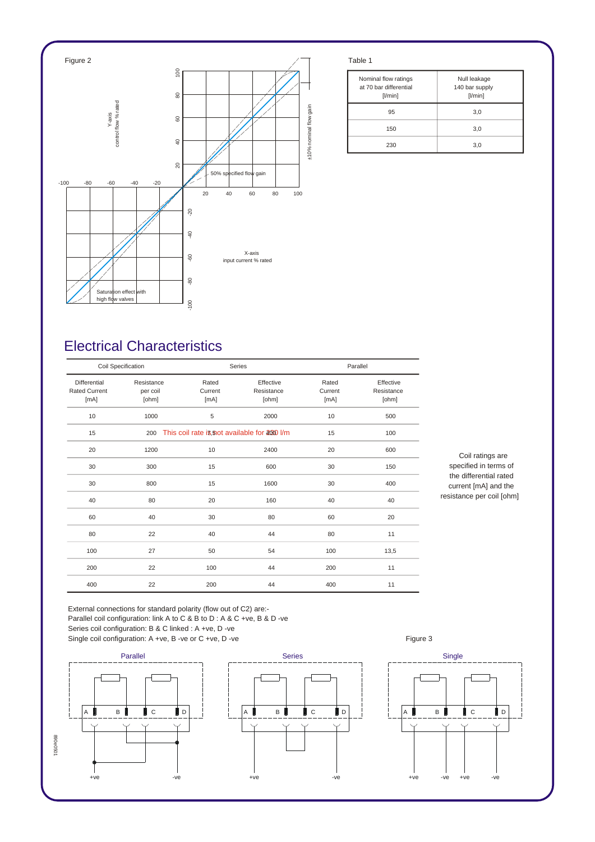

| Nominal flow ratings<br>at 70 bar differential<br>[1/min] | Null leakage<br>140 bar supply<br>[1/min] |
|-----------------------------------------------------------|-------------------------------------------|
| 95                                                        | 3,0                                       |
| 150                                                       | 3,0                                       |
| 230                                                       | 3,0                                       |

## *Electrical Characteristics*

| Coil Specification                           |                                 |                          | Series                                        |                          | Parallel                         |  |
|----------------------------------------------|---------------------------------|--------------------------|-----------------------------------------------|--------------------------|----------------------------------|--|
| Differential<br><b>Rated Current</b><br>[mA] | Resistance<br>per coil<br>[ohm] | Rated<br>Current<br>[mA] | Effective<br>Resistance<br>[ohm]              | Rated<br>Current<br>[mA] | Effective<br>Resistance<br>[ohm] |  |
| 10                                           | 1000                            | 5                        | 2000                                          | 10                       | 500                              |  |
| 15                                           | 200                             |                          | This coil rate is, not available for 2000 l/m |                          | 100                              |  |
| 20                                           | 1200                            | 10                       | 2400                                          | 20                       | 600                              |  |
| 30                                           | 300                             | 15                       | 600                                           | 30                       | 150                              |  |
| 30                                           | 800                             | 15                       | 1600                                          | 30                       | 400                              |  |
| 40                                           | 80                              | 20                       | 160                                           | 40                       | 40                               |  |
| 60                                           | 40                              | 30                       | 80                                            | 60                       | 20                               |  |
| 80                                           | 22                              | 40                       | 44                                            | 80                       | 11                               |  |
| 100                                          | 27                              | 50                       | 54                                            | 100                      | 13,5                             |  |
| 200                                          | 22                              | 100                      | 44                                            | 200                      | 11                               |  |
| 400                                          | 22                              | 200                      | 44                                            | 400                      | 11                               |  |

*Coil ratings are specified in terms of the differential rated current [mA] and the resistance per coil [ohm]*

*External connections for standard polarity (flow out of C2) are:- Parallel coil configuration: link A to C & B to D : A & C +ve, B & D -ve Series coil configuration: B & C linked : A +ve, D -ve* Single coil configuration: A +ve, B -ve or C +ve, D -ve **Figure 3** Figure 3